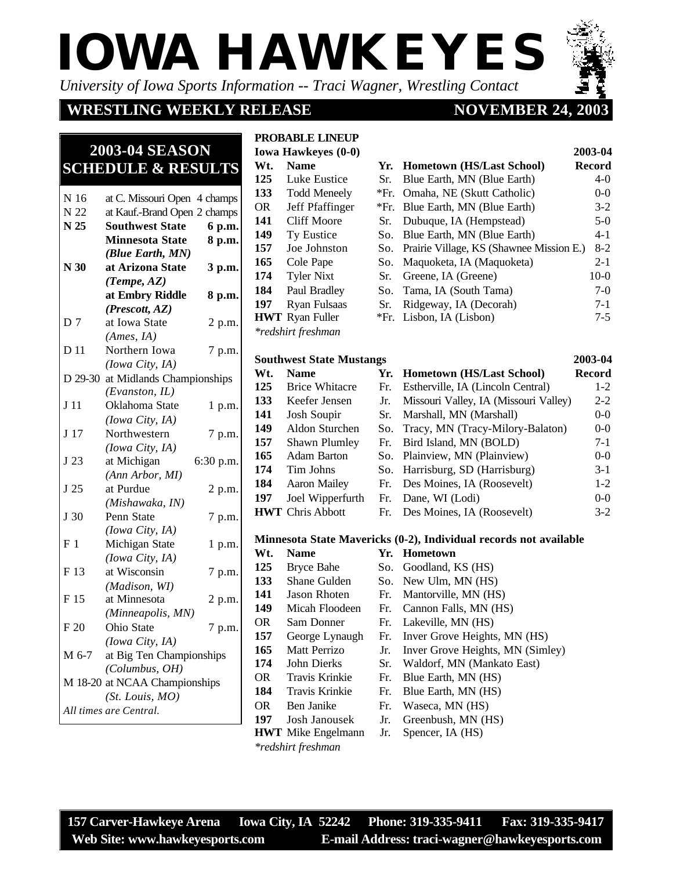*University of Iowa Sports Information -- Traci Wagner, Wrestling Contact*

### **WRESTLING WEEKLY RELEASE**

### **NOVEMBER 24.**

# **2003-04 SEASON SCHEDULE & RESULTS**

| N 16            | at C. Missouri Open 4 champs      |           |
|-----------------|-----------------------------------|-----------|
| N 22            | at Kauf.-Brand Open 2 champs      |           |
| N 25            | <b>Southwest State</b>            | 6 p.m.    |
|                 | <b>Minnesota State</b>            | 8 p.m.    |
|                 | (Blue Earth, MN)                  |           |
| N <sub>30</sub> | at Arizona State                  | 3 p.m.    |
|                 | (Tempe, AZ)                       |           |
|                 | at Embry Riddle                   | 8 p.m.    |
|                 | (Prescott, AZ)                    |           |
| D <sub>7</sub>  | at Iowa State                     | 2 p.m.    |
|                 | (Ames, IA)                        |           |
| D 11            | Northern Iowa                     | 7 p.m.    |
|                 | (Iowa City, IA)                   |           |
|                 | D 29-30 at Midlands Championships |           |
|                 | (Evanston, IL)                    |           |
| J <sub>11</sub> | Oklahoma State                    | 1 p.m.    |
|                 | (Iowa City, IA)                   |           |
| J <sub>17</sub> | Northwestern                      | 7 p.m.    |
|                 | (Iowa City, IA)                   |           |
| J 23            | at Michigan                       | 6:30 p.m. |
|                 | (Ann Arbor, MI)                   |           |
| J 25            | at Purdue                         | 2 p.m.    |
|                 | (Mishawaka, IN)                   |           |
| J 30            | Penn State                        | 7 p.m.    |
|                 | (Iowa City, IA)                   |           |
| F <sub>1</sub>  | Michigan State                    | 1 p.m.    |
|                 | (Iowa City, IA)                   |           |
| F 13            | at Wisconsin                      | 7 p.m.    |
|                 | (Madison, WI)                     |           |
| F 15            | at Minnesota                      | 2 p.m.    |
|                 | (Minneapolis, MN)                 |           |
| F 20            | Ohio State                        | 7 p.m.    |
|                 | (Iowa City, IA)                   |           |
| M 6-7           | at Big Ten Championships          |           |
|                 | (Columbus, OH)                    |           |
|                 | M 18-20 at NCAA Championships     |           |
|                 | (St. Louis, MO)                   |           |
|                 | All times are Central.            |           |

#### **PROBABLE LINEUP**

*\*redshirt freshman*

|     | <b>Iowa Hawkeyes (0-0)</b> |        |                                              | 2003-04 |
|-----|----------------------------|--------|----------------------------------------------|---------|
| Wt. | <b>Name</b>                |        | Yr. Hometown (HS/Last School)                | Record  |
| 125 | Luke Eustice               | Sr.    | Blue Earth, MN (Blue Earth)                  | $4-0$   |
| 133 | <b>Todd Meneely</b>        |        | *Fr. Omaha, NE (Skutt Catholic)              | $0-0$   |
| OR. | Jeff Pfaffinger            | $*Fr.$ | Blue Earth, MN (Blue Earth)                  | $3-2$   |
| 141 | <b>Cliff Moore</b>         | Sr.    | Dubuque, IA (Hempstead)                      | $5-0$   |
| 149 | Ty Eustice                 | So.    | Blue Earth, MN (Blue Earth)                  | 4-1     |
| 157 | Joe Johnston               |        | So. Prairie Village, KS (Shawnee Mission E.) | $8-2$   |
| 165 | Cole Pape                  | So.    | Maquoketa, IA (Maquoketa)                    | $2 - 1$ |
| 174 | <b>Tyler Nixt</b>          | Sr.    | Greene, IA (Greene)                          | $10-0$  |
| 184 | Paul Bradley               | So.    | Tama, IA (South Tama)                        | $7-0$   |
| 197 | Ryan Fulsaas               | Sr.    | Ridgeway, IA (Decorah)                       | $7 - 1$ |
|     | <b>HWT</b> Ryan Fuller     |        | *Fr. Lisbon, IA (Lisbon)                     | $7 - 5$ |

#### **Southwest State Mustangs 2003-04 Wt. Name Yr. Hometown (HS/Last School) Record 125** Brice Whitacre Fr. Estherville, IA (Lincoln Central) 1-2 **133** Keefer Jensen Jr. Missouri Valley, IA (Missouri Valley) 2-2 **141** Josh Soupir Sr. Marshall, MN (Marshall) 0-0 **149** Aldon Sturchen So. Tracy, MN (Tracy-Milory-Balaton) 0-0 **157** Shawn Plumley Fr. Bird Island, MN (BOLD) 7-1 **165** Adam Barton So. Plainview, MN (Plainview) 0-0 **174** Tim Johns So. Harrisburg, SD (Harrisburg) 3-1 **184** Aaron Mailey Fr. Des Moines, IA (Roosevelt) 1-2 **197** Joel Wipperfurth Fr. Dane, WI (Lodi) 0-0 **HWT** Chris Abbott Fr. Des Moines, IA (Roosevelt) 3-2

#### **Minnesota State Mavericks (0-2), Individual records not available**

| Wt. | <b>Name</b>               |     | Yr. Hometown                     |
|-----|---------------------------|-----|----------------------------------|
| 125 | Bryce Bahe                |     | So. Goodland, KS (HS)            |
| 133 | Shane Gulden              |     | So. New Ulm, MN (HS)             |
| 141 | Jason Rhoten              | Fr. | Mantorville, MN (HS)             |
| 149 | Micah Floodeen            |     | Fr. Cannon Falls, MN (HS)        |
| OR. | Sam Donner                | Fr. | Lakeville, MN (HS)               |
| 157 | George Lynaugh            | Fr. | Inver Grove Heights, MN (HS)     |
| 165 | Matt Perrizo              | Jr. | Inver Grove Heights, MN (Simley) |
| 174 | John Dierks               | Sr. | Waldorf, MN (Mankato East)       |
| OR. | Travis Krinkie            | Fr. | Blue Earth, MN (HS)              |
| 184 | Travis Krinkie            | Fr. | Blue Earth, MN (HS)              |
| OR. | Ben Janike                | Fr. | Waseca, MN (HS)                  |
| 197 | Josh Janousek             | Jr. | Greenbush, MN (HS)               |
|     | <b>HWT</b> Mike Engelmann | Jr. | Spencer, IA (HS)                 |
|     | *redshirt freshman        |     |                                  |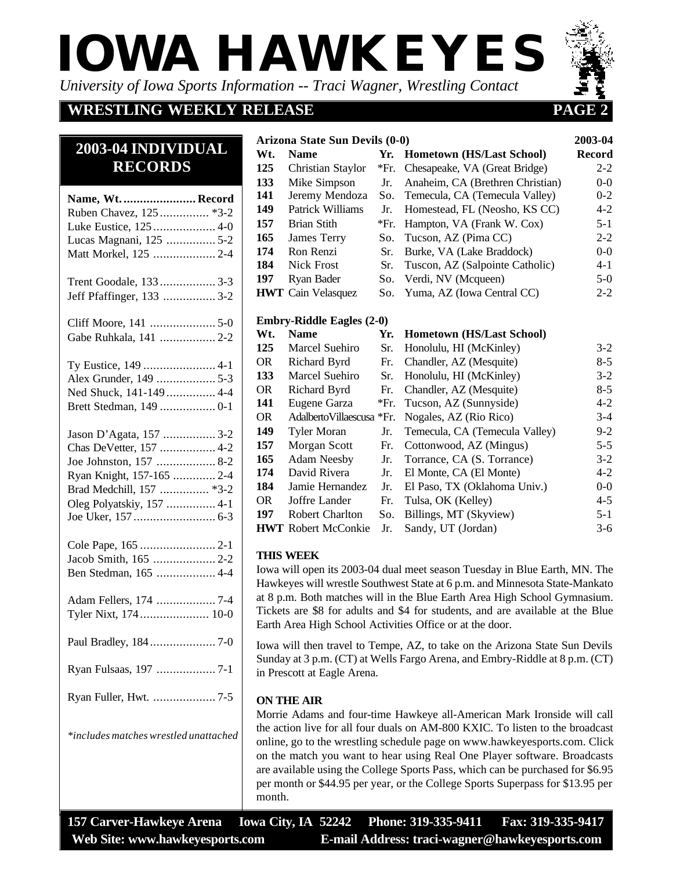*University of Iowa Sports Information -- Traci Wagner, Wrestling Contact*

# **WRESTLING WEEKLY RELEASE PAGE 2**

Matt Morkel, 125 ................... 2-4

**2003-04 INDIVIDUAL RECORDS**

Trent Goodale, 133 ................. 3-3 Jeff Pfaffinger, 133 ................ 3-2

Cliff Moore, 141 .................... 5-0 Gabe Ruhkala, 141 ................. 2-2

Ty Eustice, 149 ...................... 4-1 Alex Grunder, 149 .................. 5-3 Ned Shuck, 141-149 ............... 4-4 Brett Stedman, 149 ................. 0-1

Jason D'Agata, 157 ................ 3-2 Chas DeVetter, 157 ................. 4-2 Joe Johnston, 157 .................. 8-2 Ryan Knight, 157-165 ............. 2-4 Brad Medchill, 157 ............... \*3-2 Oleg Polyatskiy, 157 ............... 4-1 Joe Uker, 157 ......................... 6-3

Cole Pape, 165 ....................... 2-1 Jacob Smith, 165 ................... 2-2 Ben Stedman, 165 .................. 4-4

Adam Fellers, 174 .................. 7-4 Tyler Nixt, 174 ..................... 10-0

Paul Bradley, 184 .................... 7-0

Ryan Fulsaas, 197 .................. 7-1

Ryan Fuller, Hwt. ................... 7-5

*\*includes matches wrestled unattached*

#### **Arizona State Sun Devils (0-0) 2003-04**

| <b>2003-04 INDIVIDUAL</b> |     | Wt. Name          |  | Yr. Hometown (HS/Last School)                     | Record  |
|---------------------------|-----|-------------------|--|---------------------------------------------------|---------|
| <b>RECORDS</b>            | 125 | Christian Staylor |  | *Fr. Chesapeake, VA (Great Bridge)                | $2 - 2$ |
|                           | 133 | Mike Simpson      |  | Jr. Anaheim, CA (Brethren Christian)              | $0-0$   |
| Name, Wt.  Record         | 141 |                   |  | Jeremy Mendoza So. Temecula, CA (Temecula Valley) | $0 - 2$ |
|                           | 149 | Patrick Williams  |  | Jr. Homestead, FL (Neosho, KS CC)                 | $4 - 2$ |
|                           | 157 | Brian Stith       |  | *Fr. Hampton, VA (Frank W. Cox)                   | $5 - 1$ |
|                           |     | 165 James Terry   |  | So. Tucson, AZ (Pima CC)                          | $2 - 2$ |
|                           |     |                   |  |                                                   |         |

| 165 | James Terry               | So. Tucson, AZ (Pima CC)            | $2 - 2$ |
|-----|---------------------------|-------------------------------------|---------|
| 174 | Ron Renzi                 | Sr. Burke, VA (Lake Braddock)       | $0-0$   |
|     | 184 Nick Frost            | Sr. Tuscon, AZ (Salpointe Catholic) | $4 - 1$ |
|     | 197 Ryan Bader            | So. Verdi, NV (Mcqueen)             | $5-0$   |
|     | <b>HWT</b> Cain Velasquez | So. Yuma, AZ (Iowa Central CC)      | $2 - 2$ |

#### **Embry-Riddle Eagles (2-0)**

| Wt. | <b>Name</b>                | Yr. | <b>Hometown (HS/Last School)</b>                   |         |
|-----|----------------------------|-----|----------------------------------------------------|---------|
| 125 | Marcel Suehiro             | Sr. | Honolulu, HI (McKinley)                            | $3 - 2$ |
| OR  | Richard Byrd               | Fr. | Chandler, AZ (Mesquite)                            | $8 - 5$ |
| 133 | Marcel Suehiro             | Sr. | Honolulu, HI (McKinley)                            | $3 - 2$ |
| OR  | Richard Byrd               | Fr. | Chandler, AZ (Mesquite)                            | $8 - 5$ |
| 141 | Eugene Garza               |     | *Fr. Tucson, AZ (Sunnyside)                        | $4 - 2$ |
| OR. |                            |     | Adalberto Villaescusa * Fr. Nogales, AZ (Rio Rico) | $3 - 4$ |
| 149 | <b>Tyler Moran</b>         | Jr. | Temecula, CA (Temecula Valley)                     | $9 - 2$ |
| 157 | Morgan Scott               | Fr. | Cottonwood, AZ (Mingus)                            | $5 - 5$ |
| 165 | <b>Adam Neesby</b>         | Jr. | Torrance, CA (S. Torrance)                         | $3 - 2$ |
| 174 | David Rivera               | Jr. | El Monte, CA (El Monte)                            | $4 - 2$ |
| 184 | Jamie Hernandez            | Jr. | El Paso, TX (Oklahoma Univ.)                       | $0-0$   |
| OR  | Joffre Lander              | Fr. | Tulsa, OK (Kelley)                                 | $4 - 5$ |
| 197 | <b>Robert Charlton</b>     | So. | Billings, MT (Skyview)                             | $5 - 1$ |
|     | <b>HWT</b> Robert McConkie | Jr. | Sandy, UT (Jordan)                                 | $3 - 6$ |

#### **THIS WEEK**

Iowa will open its 2003-04 dual meet season Tuesday in Blue Earth, MN. The Hawkeyes will wrestle Southwest State at 6 p.m. and Minnesota State-Mankato at 8 p.m. Both matches will in the Blue Earth Area High School Gymnasium. Tickets are \$8 for adults and \$4 for students, and are available at the Blue Earth Area High School Activities Office or at the door.

Iowa will then travel to Tempe, AZ, to take on the Arizona State Sun Devils Sunday at 3 p.m. (CT) at Wells Fargo Arena, and Embry-Riddle at 8 p.m. (CT) in Prescott at Eagle Arena.

#### **ON THE AIR**

Morrie Adams and four-time Hawkeye all-American Mark Ironside will call the action live for all four duals on AM-800 KXIC. To listen to the broadcast online, go to the wrestling schedule page on www.hawkeyesports.com. Click on the match you want to hear using Real One Player software. Broadcasts are available using the College Sports Pass, which can be purchased for \$6.95 per month or \$44.95 per year, or the College Sports Superpass for \$13.95 per month.

**157 Carver-Hawkeye Arena Iowa City, IA 52242 Phone: 319-335-9411 Fax: 319-335-9417 Web Site: www.hawkeyesports.com E-mail Address: traci-wagner@hawkeyesports.com**

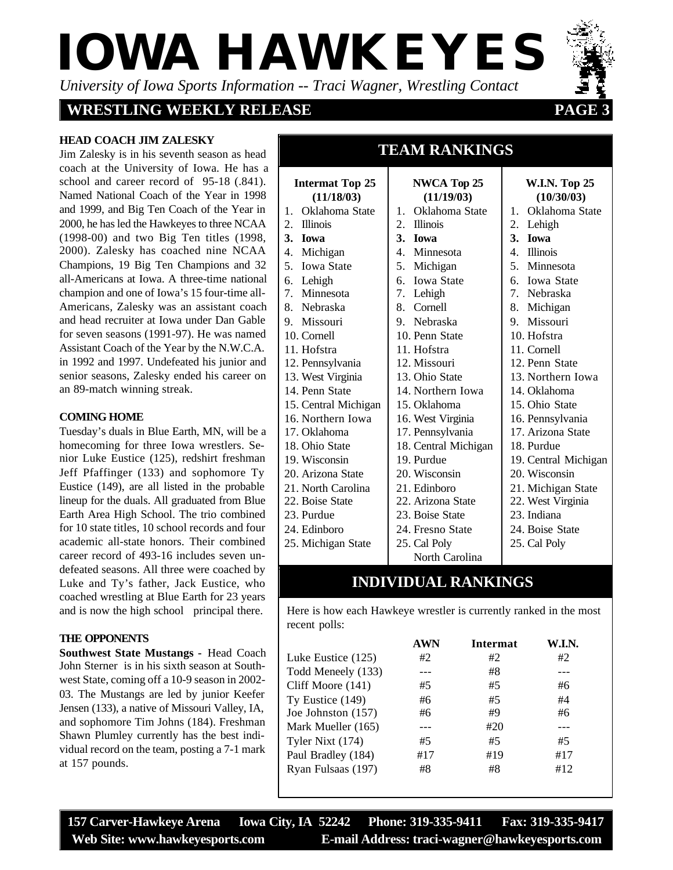*University of Iowa Sports Information -- Traci Wagner, Wrestling Contact*

### **WRESTLING WEEKLY RELEASE 32 PAGE**

#### **HEAD COACH JIM ZALESKY**

Jim Zalesky is in his seventh season as head coach at the University of Iowa. He has a school and career record of 95-18 (.841). Named National Coach of the Year in 1998 and 1999, and Big Ten Coach of the Year in 2000, he has led the Hawkeyes to three NCAA (1998-00) and two Big Ten titles (1998, 2000). Zalesky has coached nine NCAA Champions, 19 Big Ten Champions and 32 all-Americans at Iowa. A three-time national champion and one of Iowa's 15 four-time all-Americans, Zalesky was an assistant coach and head recruiter at Iowa under I for seven seasons  $(1991-97)$ . He w Assistant Coach of the Year by the in 1992 and 1997. Undefeated his senior seasons, Zalesky ended his an 89-match winning streak.

#### **COMING HOME**

Tuesday's duals in Blue Earth, MN, will be a homecoming for three Iowa wrestlers. Senior Luke Eustice (125), redshirt freshman Jeff Pfaffinger (133) and sophomore Ty Eustice (149), are all listed in the probable lineup for the duals. All graduated from Blue Earth Area High School. The trio combined for 10 state titles, 10 school records and four academic all-state honors. Their combined career record of 493-16 includes seven undefeated seasons. All three were coached by Luke and Ty's father, Jack Eustice, who coached wrestling at Blue Earth for 23 years and is now the high school principal there.

#### **THE OPPONENTS**

**Southwest State Mustangs -** Head Coach John Sterner is in his sixth season at Southwest State, coming off a 10-9 season in 2002- 03. The Mustangs are led by junior Keefer Jensen (133), a native of Missouri Valley, IA, and sophomore Tim Johns (184). Freshman Shawn Plumley currently has the best individual record on the team, posting a 7-1 mark at 157 pounds.

| )an Gable  | 9. Missouri          |  |
|------------|----------------------|--|
| vas named  | 10. Cornell          |  |
| N.W.C.A.   | 11. Hofstra          |  |
| junior and | 12. Pennsylvania     |  |
| career on  | 13. West Virginia    |  |
|            | 14. Penn State       |  |
|            | 15. Central Michigan |  |

2. Illinois **3. Iowa** 4. Michigan 5. Iowa State 6. Lehigh 7. Minnesota 8. Nebraska

16. Northern Iowa

**Intermat Top 25 (11/18/03)** 1. Oklahoma State

- 17. Oklahoma
- 18. Ohio State
- 19. Wisconsin
- 20. Arizona State
- 21. North Carolina
- 22. Boise State
- 23. Purdue
- 24. Edinboro
- 25. Michigan State

| W.I.N. Top 25<br>(10/30/03)<br>1. Oklahoma State |
|--------------------------------------------------|
|                                                  |
|                                                  |
|                                                  |
|                                                  |
|                                                  |
|                                                  |
|                                                  |
|                                                  |
|                                                  |
|                                                  |
|                                                  |
|                                                  |
|                                                  |
|                                                  |
| 13. Northern Iowa                                |
|                                                  |
|                                                  |
| 16. Pennsylvania                                 |
| 17. Arizona State                                |
|                                                  |
| 19. Central Michigan                             |
|                                                  |
| 21. Michigan State                               |
| 22. West Virginia                                |
|                                                  |
|                                                  |
|                                                  |

**TEAM RANKINGS**

**TEAM RANKINGS**

25. Cal Poly

# **INDIVIDUAL RANKINGS**

North Carolina

25. Cal Poly

Here is how each Hawkeye wrestler is currently ranked in the most recent polls:

|                    | AWN | Intermat | W.I.N. |
|--------------------|-----|----------|--------|
| Luke Eustice (125) | #2  | #2       | #2     |
| Todd Meneely (133) |     | #8       |        |
| Cliff Moore (141)  | #5  | #5       | #6     |
| Ty Eustice (149)   | #6  | #5       | #4     |
| Joe Johnston (157) | #6  | #9       | #6     |
| Mark Mueller (165) |     | #20      |        |
| Tyler Nixt (174)   | #5  | #5       | #5     |
| Paul Bradley (184) | #17 | #19      | #17    |
| Ryan Fulsaas (197) | #8  | #8       | #12    |

**157 Carver-Hawkeye Arena Iowa City, IA 52242 Phone: 319-335-9411 Fax: 319-335-9417 Web Site: www.hawkeyesports.com E-mail Address: traci-wagner@hawkeyesports.com**

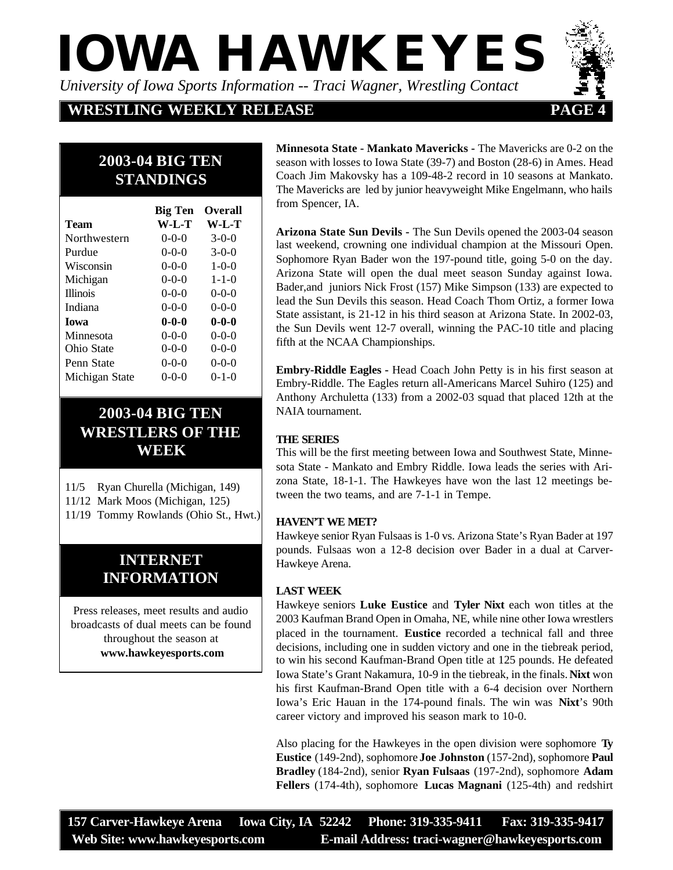*University of Iowa Sports Information -- Traci Wagner, Wrestling Contact*

**WRESTLING WEEKLY RELEASE 44 PAGE** 

# **2003-04 BIG TEN STANDINGS**

|                 | <b>Big Ten</b> | <b>Overall</b> |
|-----------------|----------------|----------------|
| <b>Team</b>     | W-L-T          | $W-L-T$        |
| Northwestern    | $0 - 0 - 0$    | $3-0-0$        |
| Purdue          | $0 - 0 - 0$    | $3-0-0$        |
| Wisconsin       | $0-0-0$        | $1 - 0 - 0$    |
| Michigan        | $0 - 0 - 0$    | $1 - 1 - 0$    |
| <b>Illinois</b> | $0 - 0 - 0$    | $0 - 0 - 0$    |
| Indiana         | $0 - 0 - 0$    | $0 - 0 - 0$    |
| <b>Iowa</b>     | $0 - 0 - 0$    | $0 - 0 - 0$    |
| Minnesota       | $0 - 0 - 0$    | $0 - 0 - 0$    |
| Ohio State      | $0 - 0 - 0$    | $0 - 0 - 0$    |
| Penn State      | $0 - 0 - 0$    | $0 - 0 - 0$    |
| Michigan State  | $0 - 0 - 0$    | $0 - 1 - 0$    |

# **2003-04 BIG TEN WRESTLERS OF THE WEEK**

| 11/5 Ryan Churella (Michigan, 149) |  |
|------------------------------------|--|
|------------------------------------|--|

- 11/12 Mark Moos (Michigan, 125)
- 11/19 Tommy Rowlands (Ohio St., Hwt.)

# **INTERNET INFORMATION**

Press releases, meet results and audio broadcasts of dual meets can be found throughout the season at  **www.hawkeyesports.com**

**Minnesota State - Mankato Mavericks -** The Mavericks are 0-2 on the season with losses to Iowa State (39-7) and Boston (28-6) in Ames. Head Coach Jim Makovsky has a 109-48-2 record in 10 seasons at Mankato. The Mavericks are led by junior heavyweight Mike Engelmann, who hails from Spencer, IA.

**Arizona State Sun Devils -** The Sun Devils opened the 2003-04 season last weekend, crowning one individual champion at the Missouri Open. Sophomore Ryan Bader won the 197-pound title, going 5-0 on the day. Arizona State will open the dual meet season Sunday against Iowa. Bader,and juniors Nick Frost (157) Mike Simpson (133) are expected to lead the Sun Devils this season. Head Coach Thom Ortiz, a former Iowa State assistant, is 21-12 in his third season at Arizona State. In 2002-03, the Sun Devils went 12-7 overall, winning the PAC-10 title and placing fifth at the NCAA Championships.

**Embry-Riddle Eagles -** Head Coach John Petty is in his first season at Embry-Riddle. The Eagles return all-Americans Marcel Suhiro (125) and Anthony Archuletta (133) from a 2002-03 squad that placed 12th at the NAIA tournament.

#### **THE SERIES**

This will be the first meeting between Iowa and Southwest State, Minnesota State - Mankato and Embry Riddle. Iowa leads the series with Arizona State, 18-1-1. The Hawkeyes have won the last 12 meetings between the two teams, and are 7-1-1 in Tempe.

#### **HAVEN'T WE MET?**

Hawkeye senior Ryan Fulsaas is 1-0 vs. Arizona State's Ryan Bader at 197 pounds. Fulsaas won a 12-8 decision over Bader in a dual at Carver-Hawkeye Arena.

### **LAST WEEK**

Hawkeye seniors **Luke Eustice** and **Tyler Nixt** each won titles at the 2003 Kaufman Brand Open in Omaha, NE, while nine other Iowa wrestlers placed in the tournament. **Eustice** recorded a technical fall and three decisions, including one in sudden victory and one in the tiebreak period, to win his second Kaufman-Brand Open title at 125 pounds. He defeated Iowa State's Grant Nakamura, 10-9 in the tiebreak, in the finals. **Nixt** won his first Kaufman-Brand Open title with a 6-4 decision over Northern Iowa's Eric Hauan in the 174-pound finals. The win was **Nixt**'s 90th career victory and improved his season mark to 10-0.

Also placing for the Hawkeyes in the open division were sophomore **Ty Eustice** (149-2nd), sophomore **Joe Johnston** (157-2nd), sophomore **Paul Bradley** (184-2nd), senior **Ryan Fulsaas** (197-2nd), sophomore **Adam Fellers** (174-4th), sophomore **Lucas Magnani** (125-4th) and redshirt

**157 Carver-Hawkeye Arena Iowa City, IA 52242 Phone: 319-335-9411 Fax: 319-335-9417 Web Site: www.hawkeyesports.com E-mail Address: traci-wagner@hawkeyesports.com**